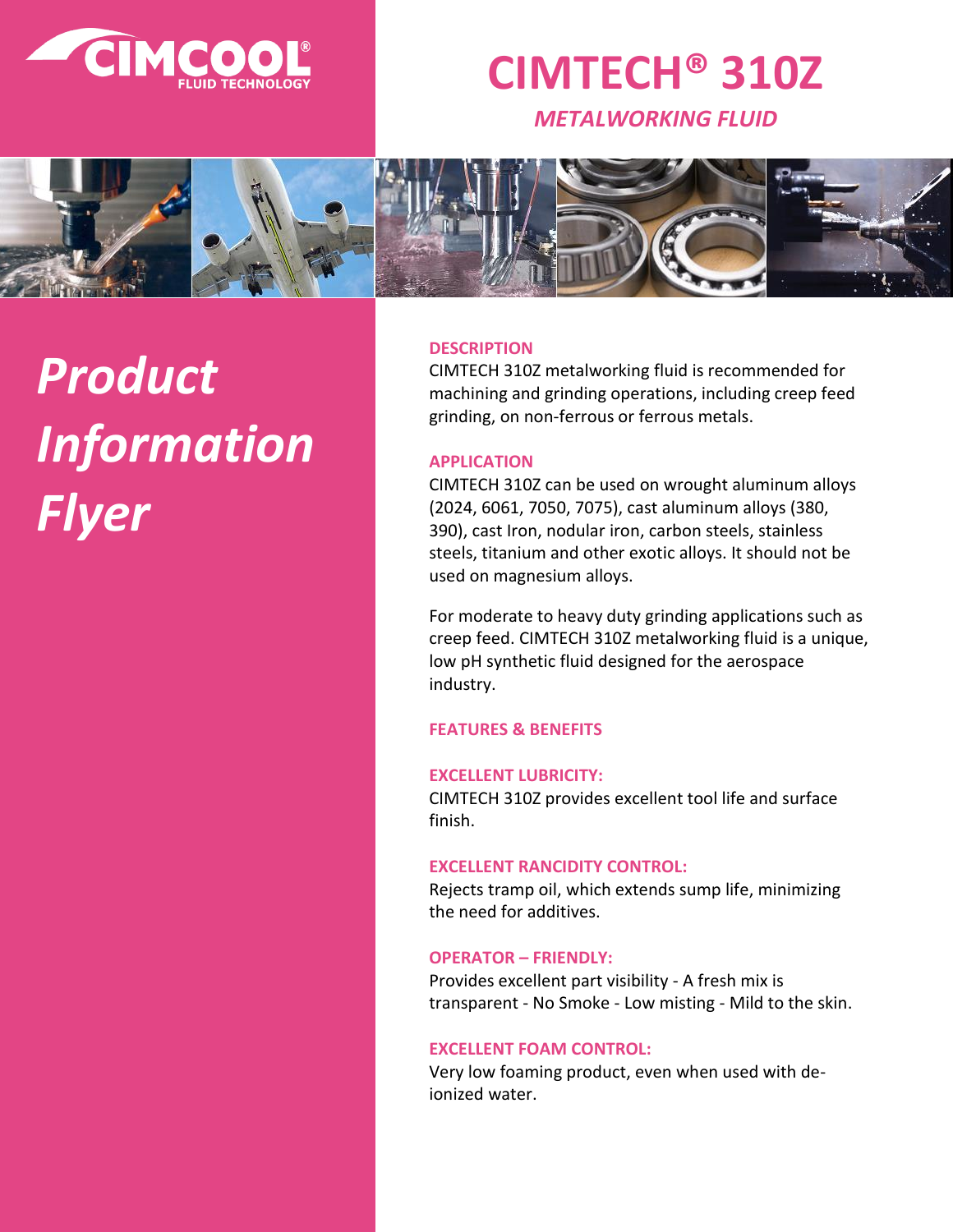

# **CIMTECH® 310Z**

*METALWORKING FLUID*



# *Product Information Flyer*

#### **DESCRIPTION**

CIMTECH 310Z metalworking fluid is recommended for machining and grinding operations, including creep feed grinding, on non-ferrous or ferrous metals.

# **APPLICATION**

CIMTECH 310Z can be used on wrought aluminum alloys (2024, 6061, 7050, 7075), cast aluminum alloys (380, 390), cast Iron, nodular iron, carbon steels, stainless steels, titanium and other exotic alloys. It should not be used on magnesium alloys.

For moderate to heavy duty grinding applications such as creep feed. CIMTECH 310Z metalworking fluid is a unique, low pH synthetic fluid designed for the aerospace industry.

# **FEATURES & BENEFITS**

# **EXCELLENT LUBRICITY:**

CIMTECH 310Z provides excellent tool life and surface finish.

## **EXCELLENT RANCIDITY CONTROL:**

Rejects tramp oil, which extends sump life, minimizing the need for additives.

#### **OPERATOR – FRIENDLY:**

Provides excellent part visibility - A fresh mix is transparent - No Smoke - Low misting - Mild to the skin.

# **EXCELLENT FOAM CONTROL:**

Very low foaming product, even when used with deionized water.